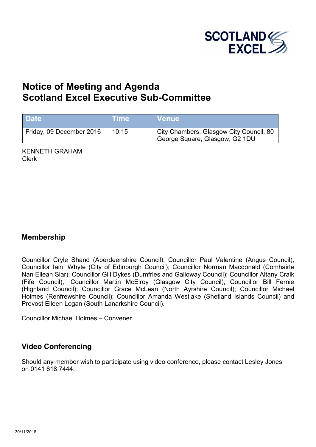

# **Notice of Meeting and Agenda Scotland Excel Executive Sub-Committee**

| Date                     | <b>∖Time</b> | <b>Venue</b>                                                              |
|--------------------------|--------------|---------------------------------------------------------------------------|
| Friday, 09 December 2016 | 10:15        | City Chambers, Glasgow City Council, 80<br>George Square, Glasgow, G2 1DU |

KENNETH GRAHAM Clerk

#### **Membership**

Councillor Cryle Shand (Aberdeenshire Council); Councillor Paul Valentine (Angus Council); Councillor Iain Whyte (City of Edinburgh Council); Councillor Norman Macdonald (Comhairle Nan Eilean Siar); Councillor Gill Dykes (Dumfries and Galloway Council); Councillor Altany Craik (Fife Council); Councillor Martin McElroy (Glasgow City Council); Councillor Bill Fernie (Highland Council); Councillor Grace McLean (North Ayrshire Council); Councillor Michael Holmes (Renfrewshire Council); Councillor Amanda Westlake (Shetland Islands Council) and Provost Eileen Logan (South Lanarkshire Council).

Councillor Michael Holmes – Convener.

### **Video Conferencing**

Should any member wish to participate using video conference, please contact Lesley Jones on 0141 618 7444.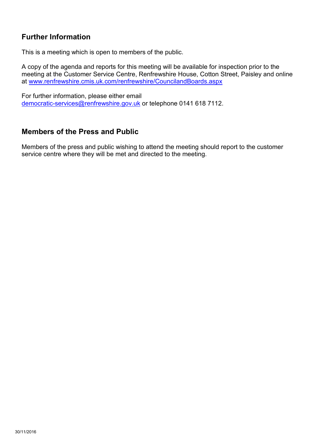# **Further Information**

This is a meeting which is open to members of the public.

A copy of the agenda and reports for this meeting will be available for inspection prior to the meeting at the Customer Service Centre, Renfrewshire House, Cotton Street, Paisley and online at [www.renfrewshire.cmis.uk.com/renfrewshire/CouncilandBoards.aspx](http://www.renfrewshire.cmis.uk.com/renfrewshire/CouncilandBoards.aspx)

For further information, please either email [democratic-services@renfrewshire.gov.uk](mailto:democratic-services@renfrewshire.gov.uk) or telephone 0141 618 7112.

#### **Members of the Press and Public**

Members of the press and public wishing to attend the meeting should report to the customer service centre where they will be met and directed to the meeting.